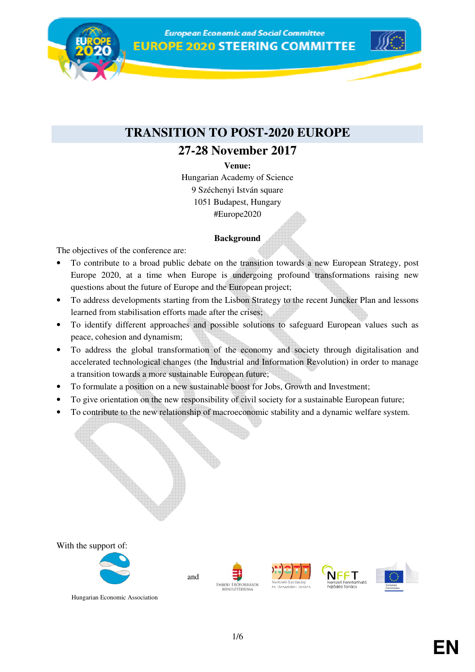**European Economic and Social Committee EUROPE 2020 STEERING COMMITTEE** 



# **27-28 November 2017**

**Venue:**

Hungarian Academy of Science 9 Széchenyi István square 1051 Budapest, Hungary #Europe2020

#### **Background**

The objectives of the conference are:

- To contribute to a broad public debate on the transition towards a new European Strategy, post Europe 2020, at a time when Europe is undergoing profound transformations raising new questions about the future of Europe and the European project;
- To address developments starting from the Lisbon Strategy to the recent Juncker Plan and lessons learned from stabilisation efforts made after the crises;
- To identify different approaches and possible solutions to safeguard European values such as peace, cohesion and dynamism;
- To address the global transformation of the economy and society through digitalisation and accelerated technological changes (the Industrial and Information Revolution) in order to manage a transition towards a more sustainable European future;
- To formulate a position on a new sustainable boost for Jobs, Growth and Investment;
- To give orientation on the new responsibility of civil society for a sustainable European future;
- To contribute to the new relationship of macroeconomic stability and a dynamic welfare system.

With the support of:











Hungarian Economic Association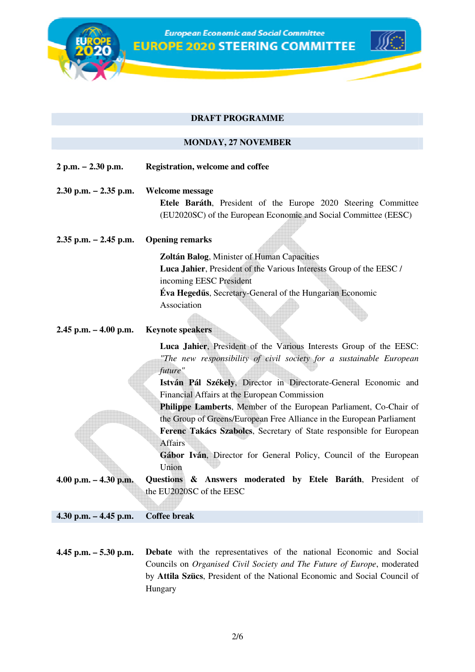



## **DRAFT PROGRAMME**

#### **MONDAY, 27 NOVEMBER**

| $2 p.m. - 2.30 p.m.$      | Registration, welcome and coffee                                                                                                                                                                                  |  |  |
|---------------------------|-------------------------------------------------------------------------------------------------------------------------------------------------------------------------------------------------------------------|--|--|
| $2.30$ p.m. $- 2.35$ p.m. | <b>Welcome message</b><br>Etele Baráth, President of the Europe 2020 Steering Committee<br>(EU2020SC) of the European Economic and Social Committee (EESC)                                                        |  |  |
| $2.35$ p.m. $- 2.45$ p.m. | <b>Opening remarks</b>                                                                                                                                                                                            |  |  |
|                           | Zoltán Balog, Minister of Human Capacities                                                                                                                                                                        |  |  |
|                           | Luca Jahier, President of the Various Interests Group of the EESC /                                                                                                                                               |  |  |
|                           | incoming EESC President                                                                                                                                                                                           |  |  |
|                           | Éva Hegedűs, Secretary-General of the Hungarian Economic                                                                                                                                                          |  |  |
|                           | Association                                                                                                                                                                                                       |  |  |
|                           |                                                                                                                                                                                                                   |  |  |
| $2.45$ p.m. $-4.00$ p.m.  | <b>Keynote speakers</b>                                                                                                                                                                                           |  |  |
|                           | Luca Jahier, President of the Various Interests Group of the EESC:<br>"The new responsibility of civil society for a sustainable European<br>future"                                                              |  |  |
|                           | István Pál Székely, Director in Directorate-General Economic and                                                                                                                                                  |  |  |
|                           | Financial Affairs at the European Commission                                                                                                                                                                      |  |  |
|                           | Philippe Lamberts, Member of the European Parliament, Co-Chair of<br>the Group of Greens/European Free Alliance in the European Parliament<br>Ferenc Takács Szabolcs, Secretary of State responsible for European |  |  |
|                           | <b>Affairs</b>                                                                                                                                                                                                    |  |  |
|                           | Gábor Iván, Director for General Policy, Council of the European                                                                                                                                                  |  |  |
|                           | Union                                                                                                                                                                                                             |  |  |
| 4.00 p.m. $-4.30$ p.m.    | Questions & Answers moderated by Etele Baráth, President of                                                                                                                                                       |  |  |
|                           | the EU2020SC of the EESC                                                                                                                                                                                          |  |  |
|                           | <b>Coffee break</b>                                                                                                                                                                                               |  |  |
| 4.30 p.m. $-4.45$ p.m.    |                                                                                                                                                                                                                   |  |  |
|                           |                                                                                                                                                                                                                   |  |  |
|                           |                                                                                                                                                                                                                   |  |  |

**4.45 p.m. – 5.30 p.m. Debate** with the representatives of the national Economic and Social Councils on *Organised Civil Society and The Future of Europe*, moderated by **Attila Szücs**, President of the National Economic and Social Council of Hungary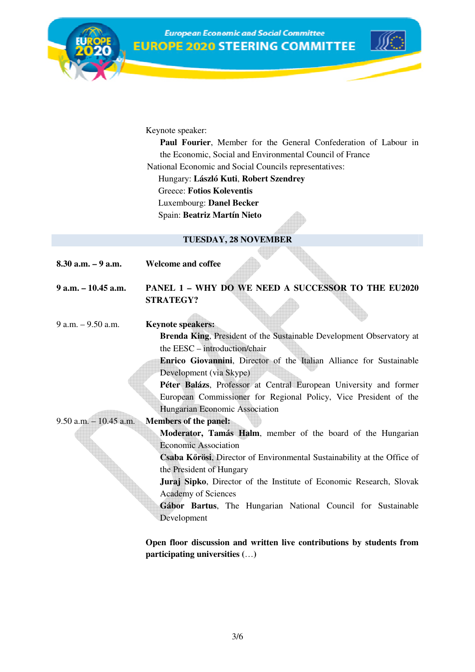



Keynote speaker:

**Paul Fourier**, Member for the General Confederation of Labour in the Economic, Social and Environmental Council of France

National Economic and Social Councils representatives:

Hungary: **László Kuti**, **Robert Szendrey**

Greece: **Fotios Koleventis**

Luxembourg: **Danel Becker**

Spain: **Beatriz Martín Nieto**

#### **TUESDAY, 28 NOVEMBER**

- **8.30 a.m. 9 a.m. Welcome and coffee**
- **9 a.m. 10.45 a.m. PANEL 1 WHY DO WE NEED A SUCCESSOR TO THE EU2020 STRATEGY?**

9 a.m. – 9.50 a.m. **Keynote speakers:** 

**Brenda King**, President of the Sustainable Development Observatory at the EESC – introduction/chair

**Enrico Giovannini**, Director of the Italian Alliance for Sustainable Development (via Skype)

**Péter Balázs**, Professor at Central European University and former European Commissioner for Regional Policy, Vice President of the Hungarian Economic Association

9.50 a.m. – 10.45 a.m. **Members of the panel:**

**Moderator, Tamás Halm**, member of the board of the Hungarian Economic Association

**Csaba Kőrösi**, Director of Environmental Sustainability at the Office of the President of Hungary

**Juraj Sipko**, Director of the Institute of Economic Research, Slovak Academy of Sciences

**Gábor Bartus**, The Hungarian National Council for Sustainable Development

# **Open floor discussion and written live contributions by students from participating universities (**…**)**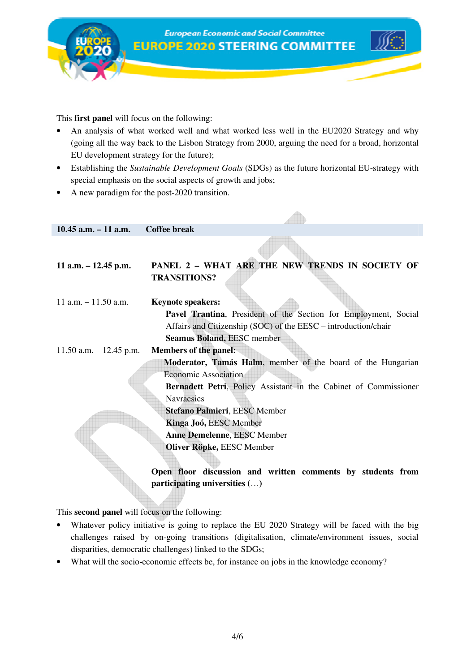

This **first panel** will focus on the following:

- An analysis of what worked well and what worked less well in the EU2020 Strategy and why (going all the way back to the Lisbon Strategy from 2000, arguing the need for a broad, horizontal EU development strategy for the future);
- Establishing the *Sustainable Development Goals* (SDGs) as the future horizontal EU-strategy with special emphasis on the social aspects of growth and jobs;

 $\triangle$ 

• A new paradigm for the post-2020 transition.

| $10.45$ a.m. $-11$ a.m.     | <b>Coffee break</b>                                                    |
|-----------------------------|------------------------------------------------------------------------|
|                             |                                                                        |
| $11$ a.m. $- 12.45$ p.m.    | PANEL 2 - WHAT ARE THE NEW TRENDS IN SOCIETY OF                        |
|                             | <b>TRANSITIONS?</b>                                                    |
| $11$ a.m. $- 11.50$ a.m.    | <b>Keynote speakers:</b>                                               |
|                             | <b>Pavel Trantina, President of the Section for Employment, Social</b> |
|                             | Affairs and Citizenship (SOC) of the EESC – introduction/chair         |
|                             | <b>Seamus Boland, EESC member</b>                                      |
| $11.50$ a.m. $- 12.45$ p.m. | <b>Members of the panel:</b>                                           |
|                             | Moderator, Tamás Halm, member of the board of the Hungarian            |
|                             | <b>Economic Association</b>                                            |
|                             | Bernadett Petri, Policy Assistant in the Cabinet of Commissioner       |
|                             | <b>Navracsics</b>                                                      |
|                             | Stefano Palmieri, EESC Member                                          |
|                             | Kinga Joó, EESC Member                                                 |
|                             | <b>Anne Demelenne, EESC Member</b>                                     |
|                             | Oliver Röpke, EESC Member                                              |
|                             | Open floor discussion and written comments by students from            |

This **second panel** will focus on the following:

- Whatever policy initiative is going to replace the EU 2020 Strategy will be faced with the big challenges raised by on-going transitions (digitalisation, climate/environment issues, social disparities, democratic challenges) linked to the SDGs;
- What will the socio-economic effects be, for instance on jobs in the knowledge economy?

**participating universities (**…**)**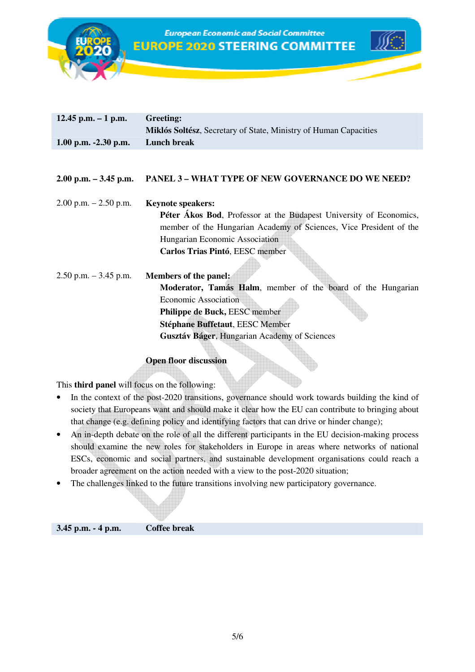**European Economic and Social Committee EUROPE 2020 STEERING COMMITTEE** 



| 12.45 p.m. $-1$ p.m.   | Greeting:                                                        |
|------------------------|------------------------------------------------------------------|
|                        | Miklós Soltész, Secretary of State, Ministry of Human Capacities |
| 1.00 p.m. $-2.30$ p.m. | Lunch break                                                      |

### **2.00 p.m. – 3.45 p.m. PANEL 3 – WHAT TYPE OF NEW GOVERNANCE DO WE NEED?**

2.00 p.m. – 2.50 p.m. **Keynote speakers:** Péter Ákos Bod, Professor at the Budapest University of Economics, member of the Hungarian Academy of Sciences, Vice President of the Hungarian Economic Association **Carlos Trias Pintó**, EESC member 2.50 p.m. – 3.45 p.m. **Members of the panel: Moderator, Tamás Halm**, member of the board of the Hungarian

> Economic Association **Philippe de Buck,** EESC member

> > **Stéphane Buffetaut**, EESC Member **Gusztáv Báger**, Hungarian Academy of Sciences

# **Open floor discussion**

This **third panel** will focus on the following:

- In the context of the post-2020 transitions, governance should work towards building the kind of society that Europeans want and should make it clear how the EU can contribute to bringing about that change (e.g. defining policy and identifying factors that can drive or hinder change);
- An in-depth debate on the role of all the different participants in the EU decision-making process should examine the new roles for stakeholders in Europe in areas where networks of national ESCs, economic and social partners, and sustainable development organisations could reach a broader agreement on the action needed with a view to the post-2020 situation;
- The challenges linked to the future transitions involving new participatory governance.

| $3.45$ p.m. $-4$ p.m. | Coffee break |
|-----------------------|--------------|
|-----------------------|--------------|